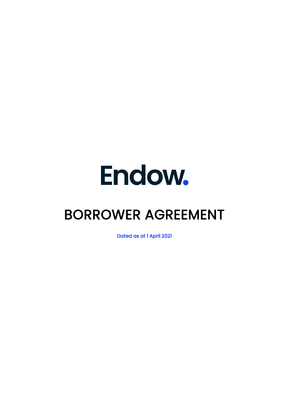# Endow.

# BORROWER AGREEMENT

Dated as at 1 April 2021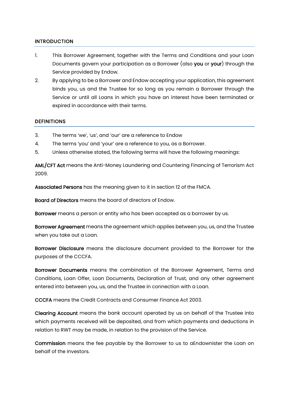#### INTRODUCTION

- 1. This Borrower Agreement, together with the Terms and Conditions and your Loan Documents govern your participation as a Borrower (also you or your) through the Service provided by Endow.
- 2. By applying to be a Borrower and Endow accepting your application, this agreement binds you, us and the Trustee for so long as you remain a Borrower through the Service or until all Loans in which you have an interest have been terminated or expired in accordance with their terms.

#### **DEFINITIONS**

- 3. The terms 'we', 'us', and 'our' are a reference to Endow
- 4. The terms 'you' and 'your' are a reference to you, as a Borrower.
- 5. Unless otherwise stated, the following terms will have the following meanings:

AML/CFT Act means the Anti-Money Laundering and Countering Financing of Terrorism Act 2009.

Associated Persons has the meaning given to it in section 12 of the FMCA.

Board of Directors means the board of directors of Endow.

Borrower means a person or entity who has been accepted as a borrower by us.

Borrower Agreement means the agreement which applies between you, us, and the Trustee when you take out a Loan.

Borrower Disclosure means the disclosure document provided to the Borrower for the purposes of the CCCFA.

Borrower Documents means the combination of the Borrower Agreement, Terms and Conditions, Loan Offer, Loan Documents, Declaration of Trust, and any other agreement entered into between you, us, and the Trustee in connection with a Loan.

CCCFA means the Credit Contracts and Consumer Finance Act 2003.

Clearing Account means the bank account operated by us on behalf of the Trustee into which payments received will be deposited, and from which payments and deductions in relation to RWT may be made, in relation to the provision of the Service.

Commission means the fee payable by the Borrower to us to aEndownister the Loan on behalf of the Investors.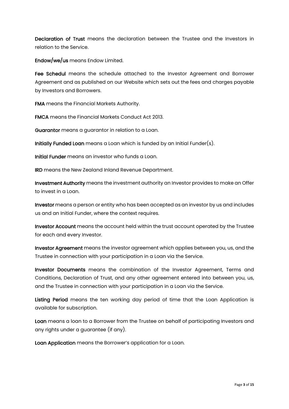Declaration of Trust means the declaration between the Trustee and the Investors in relation to the Service.

Endow/we/us means Endow Limited.

Fee Schedul means the schedule attached to the Investor Agreement and Borrower Agreement and as published on our Website which sets out the fees and charges payable by Investors and Borrowers.

FMA means the Financial Markets Authority.

FMCA means the Financial Markets Conduct Act 2013.

Guarantor means a guarantor in relation to a Loan.

Initially Funded Loan means a Loan which is funded by an Initial Funder(s).

Initial Funder means an investor who funds a Loan.

IRD means the New Zealand Inland Revenue Department.

Investment Authority means the investment authority an Investor provides to make an Offer to invest in a Loan.

Investor means a person or entity who has been accepted as an investor by us and includes us and an Initial Funder, where the context requires.

Investor Account means the account held within the trust account operated by the Trustee for each and every Investor.

Investor Agreement means the investor agreement which applies between you, us, and the Trustee in connection with your participation in a Loan via the Service.

Investor Documents means the combination of the Investor Agreement, Terms and Conditions, Declaration of Trust, and any other agreement entered into between you, us, and the Trustee in connection with your participation in a Loan via the Service.

Listing Period means the ten working day period of time that the Loan Application is available for subscription.

Loan means a loan to a Borrower from the Trustee on behalf of participating Investors and any rights under a guarantee (if any).

Loan Application means the Borrower's application for a Loan.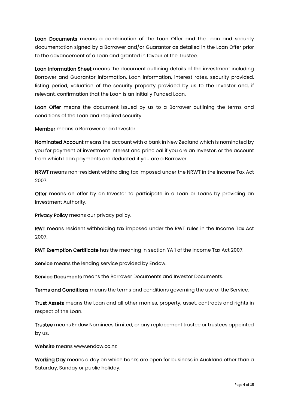Loan Documents means a combination of the Loan Offer and the Loan and security documentation signed by a Borrower and/or Guarantor as detailed in the Loan Offer prior to the advancement of a Loan and granted in favour of the Trustee.

Loan Information Sheet means the document outlining details of the investment including Borrower and Guarantor information, Loan information, interest rates, security provided, listing period, valuation of the security property provided by us to the Investor and, if relevant, confirmation that the Loan is an Initially Funded Loan.

Loan Offer means the document issued by us to a Borrower outlining the terms and conditions of the Loan and required security.

Member means a Borrower or an Investor.

Nominated Account means the account with a bank in New Zealand which is nominated by you for payment of investment interest and principal if you are an Investor, or the account from which Loan payments are deducted if you are a Borrower.

NRWT means non-resident withholding tax imposed under the NRWT in the Income Tax Act 2007.

Offer means an offer by an Investor to participate in a Loan or Loans by providing an Investment Authority.

Privacy Policy means our privacy policy.

RWT means resident withholding tax imposed under the RWT rules in the Income Tax Act 2007.

RWT Exemption Certificate has the meaning in section YA 1 of the Income Tax Act 2007.

Service means the lending service provided by Endow.

Service Documents means the Borrower Documents and Investor Documents.

Terms and Conditions means the terms and conditions governing the use of the Service.

Trust Assets means the Loan and all other monies, property, asset, contracts and rights in respect of the Loan.

Trustee means Endow Nominees Limited, or any replacement trustee or trustees appointed by us.

Website means www.endow.co.nz

Working Day means a day on which banks are open for business in Auckland other than a Saturday, Sunday or public holiday.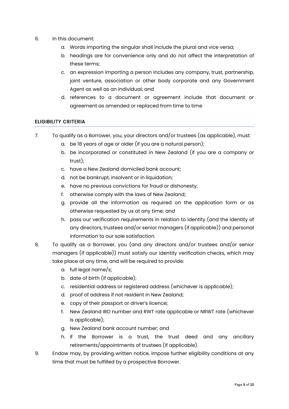- 6. In this document:
	- a. Words importing the singular shall include the plural and vice versa;
	- b. headings are for convenience only and do not affect the interpretation of these terms;
	- c. an expression importing a person includes any company, trust, partnership, joint venture, association or other body corporate and any Government Agent as well as an individual; and
	- d. references to a document or agreement include that document or agreement as amended or replaced from time to time

#### ELIGIBILITY CRITERIA

- 7. To qualify as a Borrower, you, your directors and/or trustees (as applicable), must:
	- a. be 18 years of age or older (if you are a natural person);
	- b. be incorporated or constituted in New Zealand (if you are a company or trust);
	- c. have a New Zealand domiciled bank account;
	- d. not be bankrupt, insolvent or in liquidation;
	- e. have no previous convictions for fraud or dishonesty;
	- f. otherwise comply with the laws of New Zealand;
	- g. provide all the information as required on the application form or as otherwise requested by us at any time; and
	- h. pass our verification requirements in relation to identity (and the identity of any directors, trustees and/or senior managers (if applicable)) and personal information to our sole satisfaction.
- 8. To qualify as a Borrower, you (and any directors and/or trustees and/or senior managers (if applicable)) must satisfy our identity verification checks, which may take place at any time, and will be required to provide:
	- a. full legal name/s;
	- b. date of birth (if applicable);
	- c. residential address or registered address (whichever is applicable);
	- d. proof of address if not resident in New Zealand;
	- e. copy of their passport or driver's licence;
	- f. New Zealand IRD number and RWT rate applicable or NRWT rate (whichever is applicable);
	- g. New Zealand bank account number; and
	- h. if the Borrower is a trust, the trust deed and any ancillary retirements/appointments of trustees (if applicable).
- 9. Endow may, by providing written notice, impose further eligibility conditions at any time that must be fulfilled by a prospective Borrower.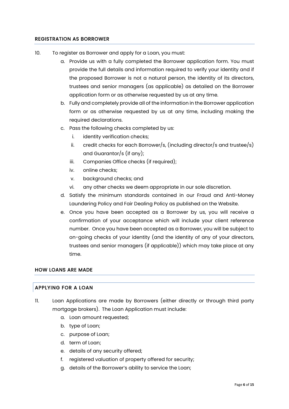#### REGISTRATION AS BORROWER

- 10. To register as Borrower and apply for a Loan, you must:
	- a. Provide us with a fully completed the Borrower application form. You must provide the full details and information required to verify your identity and if the proposed Borrower is not a natural person, the identity of its directors, trustees and senior managers (as applicable) as detailed on the Borrower application form or as otherwise requested by us at any time.
	- b. Fully and completely provide all of the information in the Borrower application form or as otherwise requested by us at any time, including making the required declarations.
	- c. Pass the following checks completed by us:
		- i. identity verification checks;
		- ii. credit checks for each Borrower/s, (including director/s and trustee/s) and Guarantor/s (if any);
		- iii. Companies Office checks (if required);
		- iv. online checks;
		- v. background checks; and
		- vi. any other checks we deem appropriate in our sole discretion.
	- d. Satisfy the minimum standards contained in our Fraud and Anti-Money Laundering Policy and Fair Dealing Policy as published on the Website.
	- e. Once you have been accepted as a Borrower by us, you will receive a confirmation of your acceptance which will include your client reference number. Once you have been accepted as a Borrower, you will be subject to on-going checks of your identity (and the identity of any of your directors, trustees and senior managers (if applicable)) which may take place at any time.

#### HOW LOANS ARE MADE

#### APPLYING FOR A LOAN

- 11. Loan Applications are made by Borrowers (either directly or through third party mortgage brokers). The Loan Application must include:
	- a. Loan amount requested;
	- b. type of Loan;
	- c. purpose of Loan;
	- d. term of Loan;
	- e. details of any security offered;
	- f. registered valuation of property offered for security;
	- g. details of the Borrower's ability to service the Loan;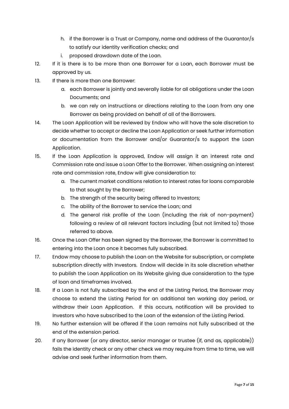- h. if the Borrower is a Trust or Company, name and address of the Guarantor/s to satisfy our identity verification checks; and
- i. proposed drawdown date of the Loan.
- 12. If it is there is to be more than one Borrower for a Loan, each Borrower must be approved by us.
- 13. If there is more than one Borrower:
	- a. each Borrower is jointly and severally liable for all obligations under the Loan Documents; and
	- b. we can rely on instructions or directions relating to the Loan from any one Borrower as being provided on behalf of all of the Borrowers.
- 14. The Loan Application will be reviewed by Endow who will have the sole discretion to decide whether to accept or decline the Loan Application or seek further information or documentation from the Borrower and/or Guarantor/s to support the Loan Application.
- 15. If the Loan Application is approved, Endow will assign it an interest rate and Commission rate and issue a Loan Offer to the Borrower. When assigning an interest rate and commission rate, Endow will give consideration to:
	- a. The current market conditions relation to interest rates for loans comparable to that sought by the Borrower;
	- b. The strength of the security being offered to Investors;
	- c. The ability of the Borrower to service the Loan; and
	- d. The general risk profile of the Loan (including the risk of non-payment) following a review of all relevant factors including (but not limited to) those referred to above.
- 16. Once the Loan Offer has been signed by the Borrower, the Borrower is committed to entering into the Loan once it becomes fully subscribed.
- 17. Endow may choose to publish the Loan on the Website for subscription, or complete subscription directly with Investors. Endow will decide in its sole discretion whether to publish the Loan Application on its Website giving due consideration to the type of loan and timeframes involved.
- 18. If a Loan is not fully subscribed by the end of the Listing Period, the Borrower may choose to extend the Listing Period for an additional ten working day period, or withdraw their Loan Application. If this occurs, notification will be provided to Investors who have subscribed to the Loan of the extension of the Listing Period.
- 19. No further extension will be offered if the Loan remains not fully subscribed at the end of the extension period.
- 20. If any Borrower (or any director, senior manager or trustee (if, and as, applicable)) fails the identity check or any other check we may require from time to time, we will advise and seek further information from them.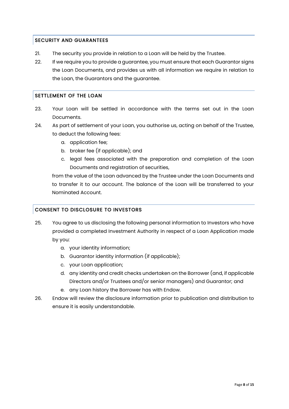# SECURITY AND GUARANTEES

- 21. The security you provide in relation to a Loan will be held by the Trustee.
- 22. If we require you to provide a guarantee, you must ensure that each Guarantor signs the Loan Documents, and provides us with all information we require in relation to the Loan, the Guarantors and the guarantee.

## SETTLEMENT OF THE LOAN

- 23. Your Loan will be settled in accordance with the terms set out in the Loan Documents.
- 24. As part of settlement of your Loan, you authorise us, acting on behalf of the Trustee, to deduct the following fees:
	- a. application fee;
	- b. broker fee (if applicable); and
	- c. legal fees associated with the preparation and completion of the Loan Documents and registration of securities,

from the value of the Loan advanced by the Trustee under the Loan Documents and to transfer it to our account. The balance of the Loan will be transferred to your Nominated Account.

#### CONSENT TO DISCLOSURE TO INVESTORS

- 25. You agree to us disclosing the following personal information to Investors who have provided a completed Investment Authority in respect of a Loan Application made by you:
	- a. your identity information;
	- b. Guarantor identity information (if applicable);
	- c. your Loan application;
	- d. any identity and credit checks undertaken on the Borrower (and, if applicable Directors and/or Trustees and/or senior managers) and Guarantor; and
	- e. any Loan history the Borrower has with Endow.
- 26. Endow will review the disclosure information prior to publication and distribution to ensure it is easily understandable.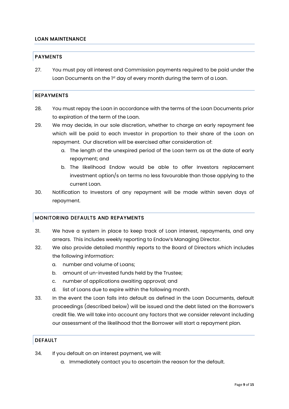#### LOAN MAINTENANCE

#### PAYMENTS

27. You must pay all interest and Commission payments required to be paid under the Loan Documents on the 1<sup>st</sup> day of every month during the term of a Loan.

#### REPAYMENTS

- 28. You must repay the Loan in accordance with the terms of the Loan Documents prior to expiration of the term of the Loan.
- 29. We may decide, in our sole discretion, whether to charge an early repayment fee which will be paid to each Investor in proportion to their share of the Loan on repayment. Our discretion will be exercised after consideration of:
	- a. The length of the unexpired period of the Loan term as at the date of early repayment; and
	- b. The likelihood Endow would be able to offer Investors replacement investment option/s on terms no less favourable than those applying to the current Loan.
- 30. Notification to Investors of any repayment will be made within seven days of repayment.

#### MONITORING DEFAULTS AND REPAYMENTS

- 31. We have a system in place to keep track of Loan interest, repayments, and any arrears. This includes weekly reporting to Endow's Managing Director.
- 32. We also provide detailed monthly reports to the Board of Directors which includes the following information:
	- a. number and volume of Loans;
	- b. amount of un-invested funds held by the Trustee;
	- c. number of applications awaiting approval; and
	- d. list of Loans due to expire within the following month.
- 33. In the event the Loan falls into default as defined in the Loan Documents, default proceedings (described below) will be issued and the debt listed on the Borrower's credit file. We will take into account any factors that we consider relevant including our assessment of the likelihood that the Borrower will start a repayment plan.

# DEFAULT

- 34. If you default on an interest payment, we will:
	- a. Immediately contact you to ascertain the reason for the default.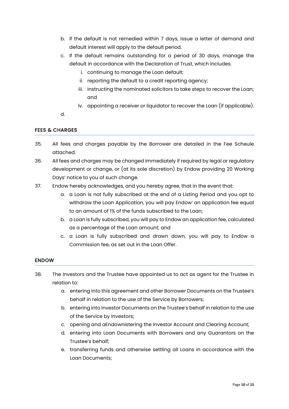- b. If the default is not remedied within 7 days, issue a letter of demand and default interest will apply to the default period.
- c. If the default remains outstanding for a period of 30 days, manage the default in accordance with the Declaration of Trust, which includes.
	- i. continuing to manage the Loan default;
	- ii. reporting the default to a credit reporting agency;
	- iii. instructing the nominated solicitors to take steps to recover the Loan; and
	- iv. appointing a receiver or liquidator to recover the Loan (if applicable).
- d.

# FEES & CHARGES

- 35. All fees and charges payable by the Borrower are detailed in the Fee Scheule attached.
- 36. All fees and charges may be changed immediately if required by legal or regulatory development or change, or (at its sole discretion) by Endow providing 20 Working Days' notice to you of such change.
- 37. Endow hereby acknowledges, and you hereby agree, that in the event that:
	- a. a Loan is not fully subscribed at the end of a Listing Period and you opt to withdraw the Loan Application, you will pay Endow[i](#page-14-0) an application fee equal to an amount of 1% of the funds subscribed to the Loan;
	- b. a Loan is fully subscribed, you will pay to Endow an application fee, calculated as a percentage of the Loan amount; and
	- c. a Loan is fully subscribed and drawn down, you will pay to Endow a Commission fee, as set out in the Loan Offer.

#### ENDOW

- 38. The Investors and the Trustee have appointed us to act as agent for the Trustee in relation to:
	- a. entering into this agreement and other Borrower Documents on the Trustee's behalf in relation to the use of the Service by Borrowers;
	- b. entering into Investor Documents on the Trustee's behalf in relation to the use of the Service by Investors;
	- c. opening and aEndownistering the Investor Account and Clearing Account;
	- d. entering into Loan Documents with Borrowers and any Guarantors on the Trustee's behalf;
	- e. transferring funds and otherwise settling all Loans in accordance with the Loan Documents;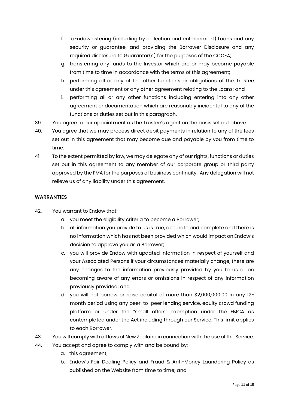- f. aEndownistering (including by collection and enforcement) Loans and any security or guarantee, and providing the Borrower Disclosure and any required disclosure to Guarantor(s) for the purposes of the CCCFA;
- g. transferring any funds to the Investor which are or may become payable from time to time in accordance with the terms of this agreement;
- h. performing all or any of the other functions or obligations of the Trustee under this agreement or any other agreement relating to the Loans; and
- i. performing all or any other functions including entering into any other agreement or documentation which are reasonably incidental to any of the functions or duties set out in this paragraph.
- 39. You agree to our appointment as the Trustee's agent on the basis set out above.
- 40. You agree that we may process direct debit payments in relation to any of the fees set out in this agreement that may become due and payable by you from time to time.
- 41. To the extent permitted by law, we may delegate any of our rights, functions or duties set out in this agreement to any member of our corporate group or third party approved by the FMA for the purposes of business continuity. Any delegation will not relieve us of any liability under this agreement.

# **WARRANTIES**

- 42. You warrant to Endow that:
	- a. you meet the eligibility criteria to become a Borrower;
	- b. all information you provide to us is true, accurate and complete and there is no information which has not been provided which would impact on Endow's decision to approve you as a Borrower;
	- c. you will provide Endow with updated information in respect of yourself and your Associated Persons if your circumstances materially change, there are any changes to the information previously provided by you to us or on becoming aware of any errors or omissions in respect of any information previously provided; and
	- d. you will not borrow or raise capital of more than \$2,000,000.00 in any 12 month period using any peer-to-peer lending service, equity crowd funding platform or under the "small offers" exemption under the FMCA as contemplated under the Act including through our Service. This limit applies to each Borrower.
- 43. You will comply with all laws of New Zealand in connection with the use of the Service.
- 44. You accept and agree to comply with and be bound by:
	- a. this agreement;
	- b. Endow's Fair Dealing Policy and Fraud & Anti-Money Laundering Policy as published on the Website from time to time; and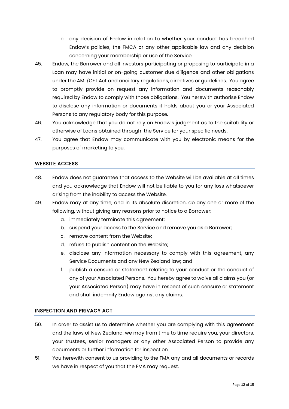- c. any decision of Endow in relation to whether your conduct has breached Endow's policies, the FMCA or any other applicable law and any decision concerning your membership or use of the Service.
- 45. Endow, the Borrower and all Investors participating or proposing to participate in a Loan may have initial or on-going customer due diligence and other obligations under the AML/CFT Act and ancillary regulations, directives or guidelines. You agree to promptly provide on request any information and documents reasonably required by Endow to comply with those obligations. You herewith authorise Endow to disclose any information or documents it holds about you or your Associated Persons to any regulatory body for this purpose.
- 46. You acknowledge that you do not rely on Endow's judgment as to the suitability or otherwise of Loans obtained through the Service for your specific needs.
- 47. You agree that Endow may communicate with you by electronic means for the purposes of marketing to you.

#### WEBSITE ACCESS

- 48. Endow does not guarantee that access to the Website will be available at all times and you acknowledge that Endow will not be liable to you for any loss whatsoever arising from the inability to access the Website.
- 49. Endow may at any time, and in its absolute discretion, do any one or more of the following, without giving any reasons prior to notice to a Borrower:
	- a. immediately terminate this agreement;
	- b. suspend your access to the Service and remove you as a Borrower;
	- c. remove content from the Website;
	- d. refuse to publish content on the Website;
	- e. disclose any information necessary to comply with this agreement, any Service Documents and any New Zealand law; and
	- f. publish a censure or statement relating to your conduct or the conduct of any of your Associated Persons. You hereby agree to waive all claims you (or your Associated Person) may have in respect of such censure or statement and shall indemnify Endow against any claims.

#### INSPECTION AND PRIVACY ACT

- 50. In order to assist us to determine whether you are complying with this agreement and the laws of New Zealand, we may from time to time require you, your directors, your trustees, senior managers or any other Associated Person to provide any documents or further information for inspection.
- 51. You herewith consent to us providing to the FMA any and all documents or records we have in respect of you that the FMA may request.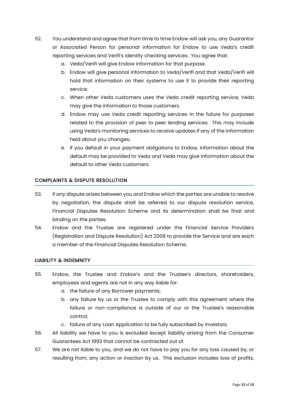- 52. You understand and agree that from time to time Endow will ask you, any Guarantor or Associated Person for personal information for Endow to use Veda's credit reporting services and Verifi's identity checking services. You agree that:
	- a. Veda/Verifi will give Endow information for that purpose.
	- b. Endow will give personal information to Veda/Verifi and that Veda/Verifi will hold that information on their systems to use it to provide their reporting service.
	- c. When other Veda customers uses the Veda credit reporting service, Veda may give the information to those customers.
	- d. Endow may use Veda credit reporting services in the future for purposes related to the provision of peer to peer lending services. This may include using Veda's monitoring services to receive updates if any of the information held about you changes;.
	- e. If you default in your payment obligations to Endow, information about the default may be provided to Veda and Veda may give information about the default to other Veda customers.

# COMPLAINTS & DISPUTE RESOLUTION

- 53. If any dispute arises between you and Endow which the parties are unable to resolve by negotiation, the dispute shall be referred to our dispute resolution service, Financial Disputes Resolution Scheme and its determination shall be final and binding on the parties.
- 54. Endow and the Trustee are registered under the Financial Service Providers (Registration and Dispute Resolution) Act 2008 to provide the Service and are each a member of the Financial Disputes Resolution Scheme.

#### LIABILITY & INDEMNITY

- 55. Endow, the Trustee and Endow's and the Trustee's directors, shareholders, employees and agents are not in any way liable for:
	- a. the failure of any Borrower payments;
	- b. any failure by us or the Trustee to comply with this agreement where the failure or non-compliance is outside of our or the Trustee's reasonable control;
	- c. failure of any Loan Application to be fully subscribed by Investors.
- 56. All liability we have to you is excluded except liability arising from the Consumer Guarantees Act 1993 that cannot be contracted out of.
- 57. We are not liable to you, and we do not have to pay you for any loss caused by, or resulting from, any action or inaction by us. This exclusion includes loss of profits,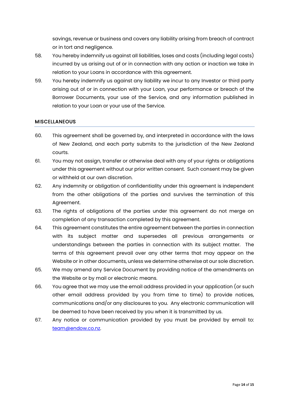savings, revenue or business and covers any liability arising from breach of contract or in tort and negligence.

- 58. You hereby indemnify us against all liabilities, loses and costs (including legal costs) incurred by us arising out of or in connection with any action or inaction we take in relation to your Loans in accordance with this agreement.
- 59. You hereby indemnify us against any liability we incur to any Investor or third party arising out of or in connection with your Loan, your performance or breach of the Borrower Documents, your use of the Service, and any information published in relation to your Loan or your use of the Service.

#### **MISCELLANEOUS**

- 60. This agreement shall be governed by, and interpreted in accordance with the laws of New Zealand, and each party submits to the jurisdiction of the New Zealand courts.
- 61. You may not assign, transfer or otherwise deal with any of your rights or obligations under this agreement without our prior written consent. Such consent may be given or withheld at our own discretion.
- 62. Any indemnity or obligation of confidentiality under this agreement is independent from the other obligations of the parties and survives the termination of this Agreement.
- 63. The rights of obligations of the parties under this agreement do not merge on completion of any transaction completed by this agreement.
- 64. This agreement constitutes the entire agreement between the parties in connection with its subject matter and supersedes all previous arrangements or understandings between the parties in connection with its subject matter. The terms of this agreement prevail over any other terms that may appear on the Website or in other documents, unless we determine otherwise at our sole discretion.
- 65. We may amend any Service Document by providing notice of the amendments on the Website or by mail or electronic means.
- 66. You agree that we may use the email address provided in your application (or such other email address provided by you from time to time) to provide notices, communications and/or any disclosures to you. Any electronic communication will be deemed to have been received by you when it is transmitted by us.
- 67. Any notice or communication provided by you must be provided by email to: [team@endow.co.nz.](mailto:team@endow.co.nz)